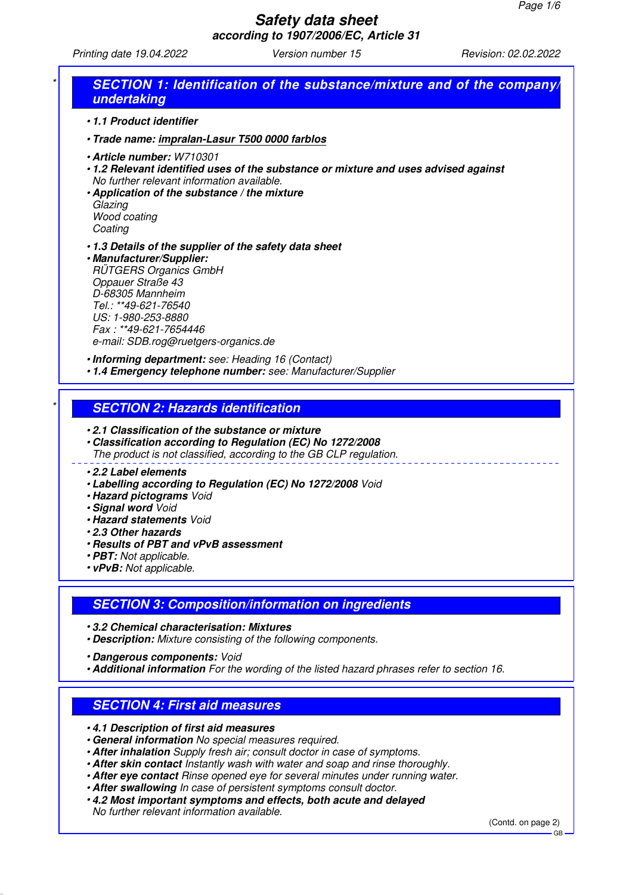Printing date 19.04.2022 Version number 15 Revision: 02.02.2022

|                    | undertaking                                                                                                                                                                                                                                                                               |
|--------------------|-------------------------------------------------------------------------------------------------------------------------------------------------------------------------------------------------------------------------------------------------------------------------------------------|
|                    | •1.1 Product identifier                                                                                                                                                                                                                                                                   |
|                    | · Trade name: impralan-Lasur T500 0000 farblos                                                                                                                                                                                                                                            |
| Glazing<br>Coating | · Article number: W710301<br>.1.2 Relevant identified uses of the substance or mixture and uses advised against<br>No further relevant information available.<br>• Application of the substance / the mixture<br>Wood coating                                                             |
|                    | .1.3 Details of the supplier of the safety data sheet<br>· Manufacturer/Supplier:<br><b>RÜTGERS Organics GmbH</b><br>Oppauer Straße 43<br>D-68305 Mannheim<br>Tel.: **49-621-76540<br>US: 1-980-253-8880<br>Fax: **49-621-7654446<br>e-mail: SDB.rog@ruetgers-organics.de                 |
|                    | . Informing department: see: Heading 16 (Contact)<br>. 1.4 Emergency telephone number: see: Manufacturer/Supplier                                                                                                                                                                         |
|                    | <b>SECTION 2: Hazards identification</b>                                                                                                                                                                                                                                                  |
|                    | .2.1 Classification of the substance or mixture<br>• Classification according to Regulation (EC) No 1272/2008<br>The product is not classified, according to the GB CLP regulation.                                                                                                       |
|                    | •2.2 Label elements<br>• Labelling according to Regulation (EC) No 1272/2008 Void<br>· Hazard pictograms Void<br>· Signal word Void<br><b>· Hazard statements Void</b><br>.2.3 Other hazards<br>• Results of PBT and vPvB assessment<br>· PBT: Not applicable.<br>• vPvB: Not applicable. |
|                    | <b>SECTION 3: Composition/information on ingredients</b>                                                                                                                                                                                                                                  |
|                    | .3.2 Chemical characterisation: Mixtures<br>• Description: Mixture consisting of the following components.                                                                                                                                                                                |

**SECTION 4: First aid measures**

• **4.1 Description of first aid measures**

- **General information** No special measures required.
- **After inhalation** Supply fresh air; consult doctor in case of symptoms.
- **After skin contact** Instantly wash with water and soap and rinse thoroughly.
- **After eye contact** Rinse opened eye for several minutes under running water.
- **After swallowing** In case of persistent symptoms consult doctor.
- **4.2 Most important symptoms and effects, both acute and delayed**

No further relevant information available.

(Contd. on page 2)

GB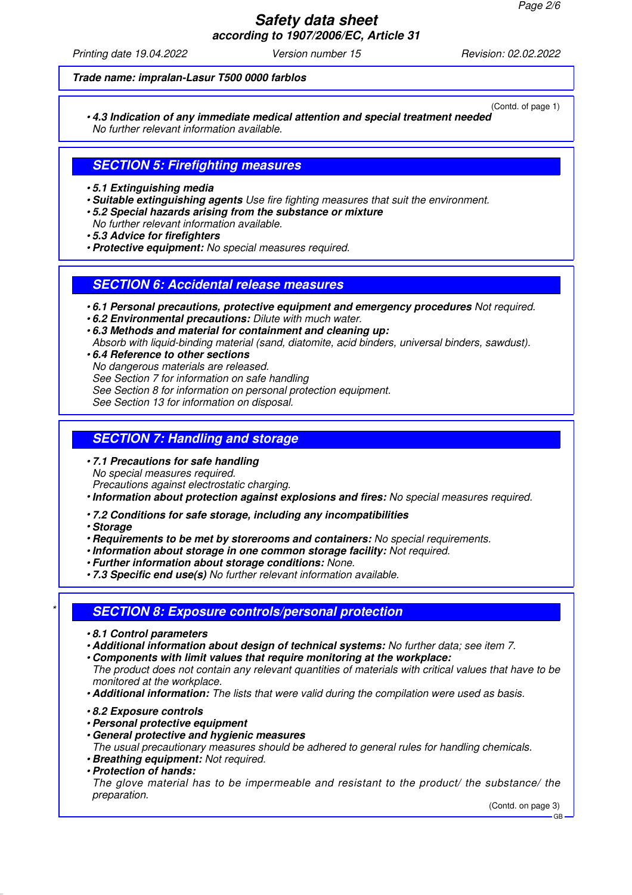Printing date 19.04.2022 Version number 15 Revision: 02.02.2022

#### **Trade name: impralan-Lasur T500 0000 farblos**

(Contd. of page 1) • **4.3 Indication of any immediate medical attention and special treatment needed** No further relevant information available.

## **SECTION 5: Firefighting measures**

- **5.1 Extinguishing media**
- **Suitable extinguishing agents** Use fire fighting measures that suit the environment.
- **5.2 Special hazards arising from the substance or mixture**
- No further relevant information available.
- **5.3 Advice for firefighters**
- **Protective equipment:** No special measures required.

## **SECTION 6: Accidental release measures**

- **6.1 Personal precautions, protective equipment and emergency procedures** Not required.
- **6.2 Environmental precautions:** Dilute with much water.
- **6.3 Methods and material for containment and cleaning up:**
- Absorb with liquid-binding material (sand, diatomite, acid binders, universal binders, sawdust).
- **6.4 Reference to other sections** No dangerous materials are released. See Section 7 for information on safe handling See Section 8 for information on personal protection equipment. See Section 13 for information on disposal.

#### **SECTION 7: Handling and storage**

• **7.1 Precautions for safe handling** No special measures required. Precautions against electrostatic charging.

• **Information about protection against explosions and fires:** No special measures required.

- **7.2 Conditions for safe storage, including any incompatibilities**
- **Storage**
- **Requirements to be met by storerooms and containers:** No special requirements.
- **Information about storage in one common storage facility:** Not required.
- **Further information about storage conditions:** None.
- **7.3 Specific end use(s)** No further relevant information available.

## \* **SECTION 8: Exposure controls/personal protection**

- **8.1 Control parameters**
- **Additional information about design of technical systems:** No further data; see item 7.
- **Components with limit values that require monitoring at the workplace:**

The product does not contain any relevant quantities of materials with critical values that have to be monitored at the workplace.

- **Additional information:** The lists that were valid during the compilation were used as basis.
- **8.2 Exposure controls**
- **Personal protective equipment**
- **General protective and hygienic measures**

The usual precautionary measures should be adhered to general rules for handling chemicals.

- **Breathing equipment:** Not required.
- **Protection of hands:**

The glove material has to be impermeable and resistant to the product/ the substance/ the preparation.

(Contd. on page 3)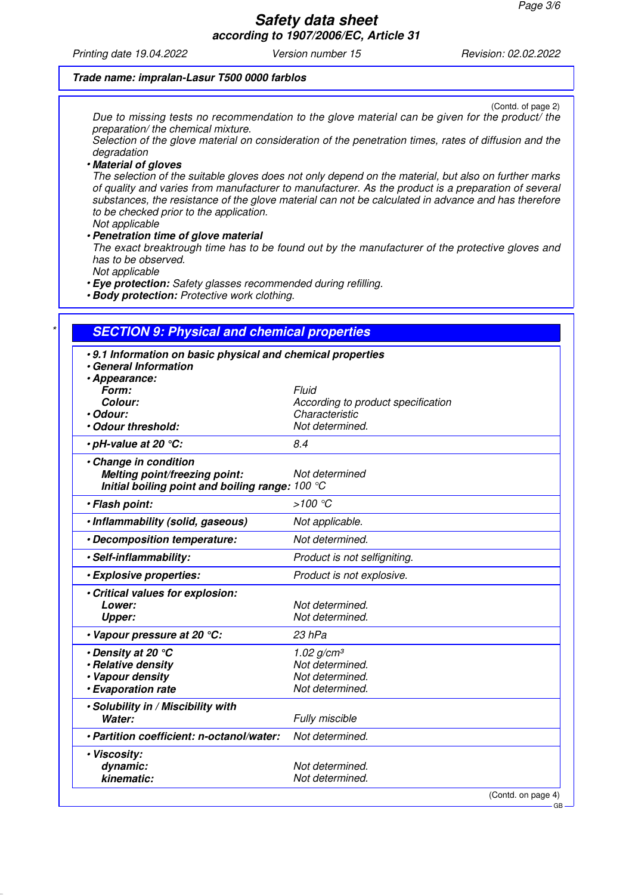GB

# **Safety data sheet**

**according to 1907/2006/EC, Article 31**

Printing date 19.04.2022 Version number 15 Revision: 02.02.2022

#### **Trade name: impralan-Lasur T500 0000 farblos**

(Contd. of page 2) Due to missing tests no recommendation to the glove material can be given for the product/ the preparation/ the chemical mixture.

Selection of the glove material on consideration of the penetration times, rates of diffusion and the degradation

#### • **Material of gloves**

The selection of the suitable gloves does not only depend on the material, but also on further marks of quality and varies from manufacturer to manufacturer. As the product is a preparation of several substances, the resistance of the glove material can not be calculated in advance and has therefore to be checked prior to the application.

Not applicable

#### • **Penetration time of glove material**

The exact breaktrough time has to be found out by the manufacturer of the protective gloves and has to be observed.

Not applicable

• **Eye protection:** Safety glasses recommended during refilling.

• **Body protection:** Protective work clothing.

## **SECTION 9: Physical and chemical properties**

| .9.1 Information on basic physical and chemical properties<br>• General Information                              |                                                      |  |  |  |
|------------------------------------------------------------------------------------------------------------------|------------------------------------------------------|--|--|--|
| · Appearance:                                                                                                    |                                                      |  |  |  |
| Form:                                                                                                            | Fluid                                                |  |  |  |
| Colour:<br>• Odour:                                                                                              | According to product specification<br>Characteristic |  |  |  |
| · Odour threshold:                                                                                               | Not determined.                                      |  |  |  |
|                                                                                                                  |                                                      |  |  |  |
| $\cdot$ pH-value at 20 $^{\circ}$ C:                                                                             | 8.4                                                  |  |  |  |
| · Change in condition<br><b>Melting point/freezing point:</b><br>Initial boiling point and boiling range: 100 °C | Not determined                                       |  |  |  |
| · Flash point:                                                                                                   | $>100$ °C                                            |  |  |  |
| · Inflammability (solid, gaseous)                                                                                | Not applicable.                                      |  |  |  |
| · Decomposition temperature:                                                                                     | Not determined.                                      |  |  |  |
| · Self-inflammability:                                                                                           | Product is not selfigniting.                         |  |  |  |
| · Explosive properties:                                                                                          | Product is not explosive.                            |  |  |  |
| · Critical values for explosion:                                                                                 |                                                      |  |  |  |
| Lower:                                                                                                           | Not determined.                                      |  |  |  |
| <b>Upper:</b>                                                                                                    | Not determined.                                      |  |  |  |
| • Vapour pressure at 20 °C:                                                                                      | 23 hPa                                               |  |  |  |
| $\cdot$ Density at 20 $^{\circ}$ C                                                                               | 1.02 g/cm <sup>3</sup>                               |  |  |  |
| · Relative density                                                                                               | Not determined.                                      |  |  |  |
| • Vapour density                                                                                                 | Not determined.                                      |  |  |  |
| · Evaporation rate                                                                                               | Not determined.                                      |  |  |  |
| • Solubility in / Miscibility with                                                                               |                                                      |  |  |  |
| Water:                                                                                                           | Fully miscible                                       |  |  |  |
| · Partition coefficient: n-octanol/water:                                                                        | Not determined.                                      |  |  |  |
| · Viscosity:                                                                                                     |                                                      |  |  |  |
| dynamic:                                                                                                         | Not determined.                                      |  |  |  |
| kinematic:                                                                                                       | Not determined.                                      |  |  |  |
|                                                                                                                  | (Contd. on page 4)                                   |  |  |  |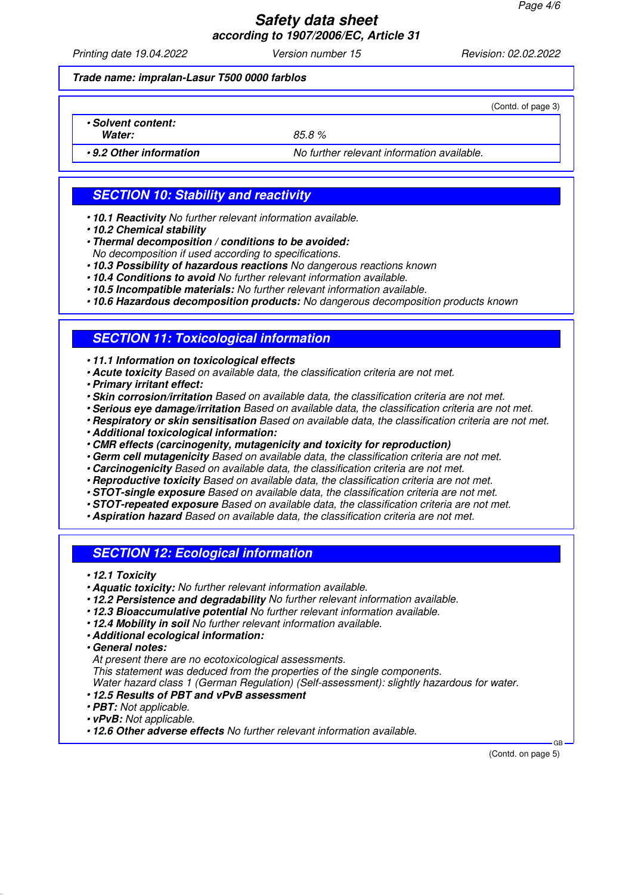Printing date 19.04.2022 Version number 15 Revision: 02.02.2022

(Contd. of page 3)

**Trade name: impralan-Lasur T500 0000 farblos**

• **Solvent content:**

Water: 85.8 %

• **9.2 Other information** No further relevant information available.

**SECTION 10: Stability and reactivity**

- **10.1 Reactivity** No further relevant information available.
- **10.2 Chemical stability**

• **Thermal decomposition / conditions to be avoided:**

- No decomposition if used according to specifications.
- **10.3 Possibility of hazardous reactions** No dangerous reactions known
- **10.4 Conditions to avoid** No further relevant information available.
- **10.5 Incompatible materials:** No further relevant information available.

• **10.6 Hazardous decomposition products:** No dangerous decomposition products known

## **SECTION 11: Toxicological information**

• **11.1 Information on toxicological effects**

- **Acute toxicity** Based on available data, the classification criteria are not met.
- **Primary irritant effect:**
- **Skin corrosion/irritation** Based on available data, the classification criteria are not met.
- **Serious eye damage/irritation** Based on available data, the classification criteria are not met.
- **Respiratory or skin sensitisation** Based on available data, the classification criteria are not met.
- **Additional toxicological information:**
- **CMR effects (carcinogenity, mutagenicity and toxicity for reproduction)**
- **Germ cell mutagenicity** Based on available data, the classification criteria are not met.
- **Carcinogenicity** Based on available data, the classification criteria are not met.
- **Reproductive toxicity** Based on available data, the classification criteria are not met.
- **STOT-single exposure** Based on available data, the classification criteria are not met.
- **STOT-repeated exposure** Based on available data, the classification criteria are not met.
- **Aspiration hazard** Based on available data, the classification criteria are not met.

## **SECTION 12: Ecological information**

- **12.1 Toxicity**
- **Aquatic toxicity:** No further relevant information available.
- **12.2 Persistence and degradability** No further relevant information available.
- **12.3 Bioaccumulative potential** No further relevant information available.
- **12.4 Mobility in soil** No further relevant information available.
- **Additional ecological information:**

• **General notes:**

At present there are no ecotoxicological assessments.

This statement was deduced from the properties of the single components.

Water hazard class 1 (German Regulation) (Self-assessment): slightly hazardous for water.

- **12.5 Results of PBT and vPvB assessment**
- **PBT:** Not applicable.
- **vPvB:** Not applicable.

• **12.6 Other adverse effects** No further relevant information available.

(Contd. on page 5)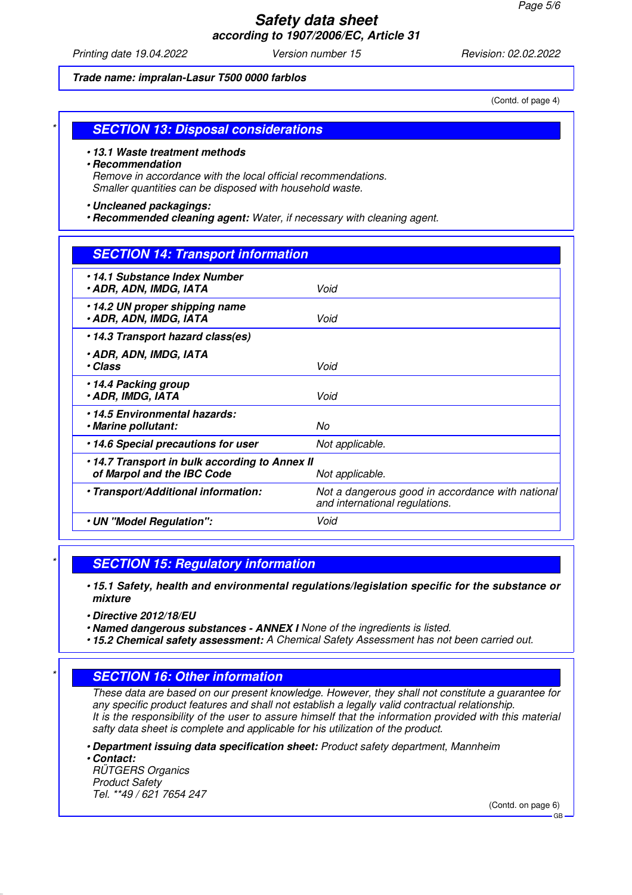Printing date 19.04.2022 Version number 15 Revision: 02.02.2022

#### **Trade name: impralan-Lasur T500 0000 farblos**

(Contd. of page 4)

## **SECTION 13: Disposal considerations**

#### • **13.1 Waste treatment methods**

#### • **Recommendation**

Remove in accordance with the local official recommendations. Smaller quantities can be disposed with household waste.

#### • **Uncleaned packagings:**

• **Recommended cleaning agent:** Water, if necessary with cleaning agent.

## **SECTION 14: Transport information**

| •14.1 Substance Index Number<br>• ADR, ADN, IMDG, IATA                                         | Void                                                                               |  |
|------------------------------------------------------------------------------------------------|------------------------------------------------------------------------------------|--|
| •14.2 UN proper shipping name<br>• ADR, ADN, IMDG, IATA                                        | Void                                                                               |  |
| •14.3 Transport hazard class(es)                                                               |                                                                                    |  |
| • ADR, ADN, IMDG, IATA<br>• Class                                                              | Void                                                                               |  |
| •14.4 Packing group<br><b>. ADR, IMDG, IATA</b>                                                | Void                                                                               |  |
| •14.5 Environmental hazards:<br>· Marine pollutant:                                            | No                                                                                 |  |
| .14.6 Special precautions for user                                                             | Not applicable.                                                                    |  |
| •14.7 Transport in bulk according to Annex II<br>of Marpol and the IBC Code<br>Not applicable. |                                                                                    |  |
| · Transport/Additional information:                                                            | Not a dangerous good in accordance with national<br>and international regulations. |  |
| • UN "Model Regulation":                                                                       | Void                                                                               |  |
|                                                                                                |                                                                                    |  |

#### **SECTION 15: Regulatory information**

• **15.1 Safety, health and environmental regulations/legislation specific for the substance or mixture**

• **Directive 2012/18/EU**

• **Named dangerous substances - ANNEX I** None of the ingredients is listed.

• **15.2 Chemical safety assessment:** A Chemical Safety Assessment has not been carried out.

## **SECTION 16: Other information**

These data are based on our present knowledge. However, they shall not constitute a guarantee for any specific product features and shall not establish a legally valid contractual relationship. It is the responsibility of the user to assure himself that the information provided with this material safty data sheet is complete and applicable for his utilization of the product.

• **Department issuing data specification sheet:** Product safety department, Mannheim

• **Contact:** RÜTGERS Organics Product Safety Tel. \*\*49 / 621 7654 247

(Contd. on page 6)